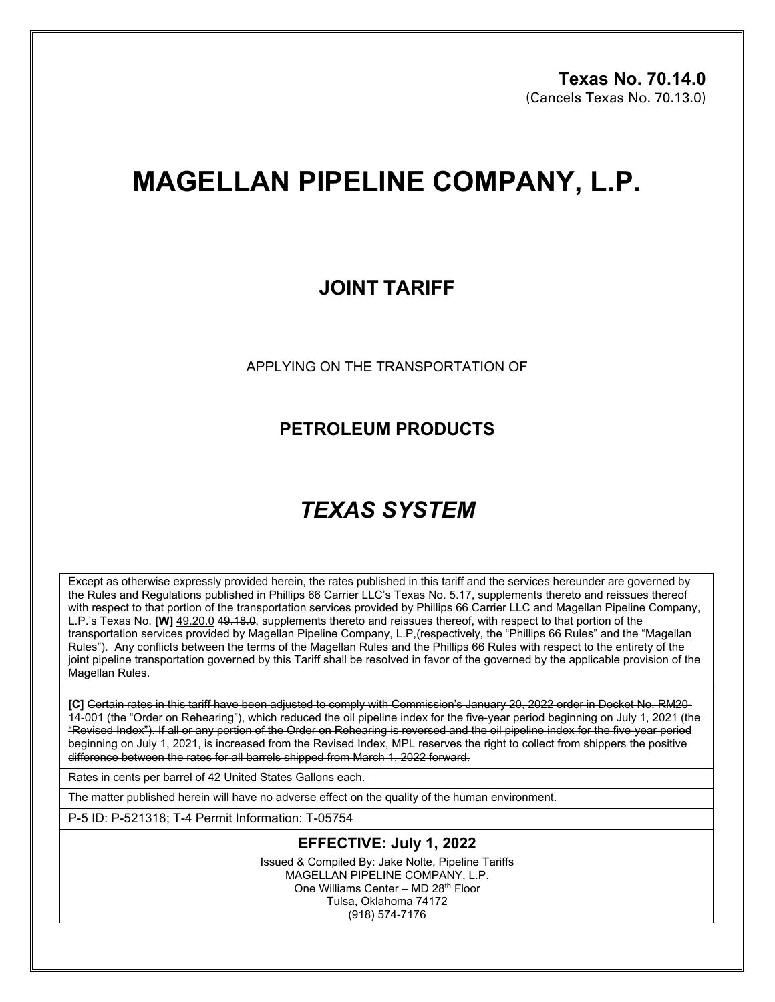# **MAGELLAN PIPELINE COMPANY, L.P.**

## **JOINT TARIFF**

APPLYING ON THE TRANSPORTATION OF

### **PETROLEUM PRODUCTS**

## *TEXAS SYSTEM*

Except as otherwise expressly provided herein, the rates published in this tariff and the services hereunder are governed by the Rules and Regulations published in Phillips 66 Carrier LLC's Texas No. 5.17, supplements thereto and reissues thereof with respect to that portion of the transportation services provided by Phillips 66 Carrier LLC and Magellan Pipeline Company, L.P.'s Texas No. **[W]** 49.20.0 49.18.0, supplements thereto and reissues thereof, with respect to that portion of the transportation services provided by Magellan Pipeline Company, L.P,(respectively, the "Phillips 66 Rules" and the "Magellan Rules"). Any conflicts between the terms of the Magellan Rules and the Phillips 66 Rules with respect to the entirety of the joint pipeline transportation governed by this Tariff shall be resolved in favor of the governed by the applicable provision of the Magellan Rules.

**[C]** Certain rates in this tariff have been adjusted to comply with Commission's January 20, 2022 order in Docket No. RM20- 14-001 (the "Order on Rehearing"), which reduced the oil pipeline index for the five-year period beginning on July 1, 2021 (the "Revised Index"). If all or any portion of the Order on Rehearing is reversed and the oil pipeline index for the five-year period beginning on July 1, 2021, is increased from the Revised Index, MPL reserves the right to collect from shippers the positive difference between the rates for all barrels shipped from March 1, 2022 forward.

Rates in cents per barrel of 42 United States Gallons each.

The matter published herein will have no adverse effect on the quality of the human environment.

P-5 ID: P-521318; T-4 Permit Information: T-05754

#### **EFFECTIVE: July 1, 2022**

Issued & Compiled By: Jake Nolte, Pipeline Tariffs MAGELLAN PIPELINE COMPANY, L.P. One Williams Center – MD 28th Floor Tulsa, Oklahoma 74172 (918) 574-7176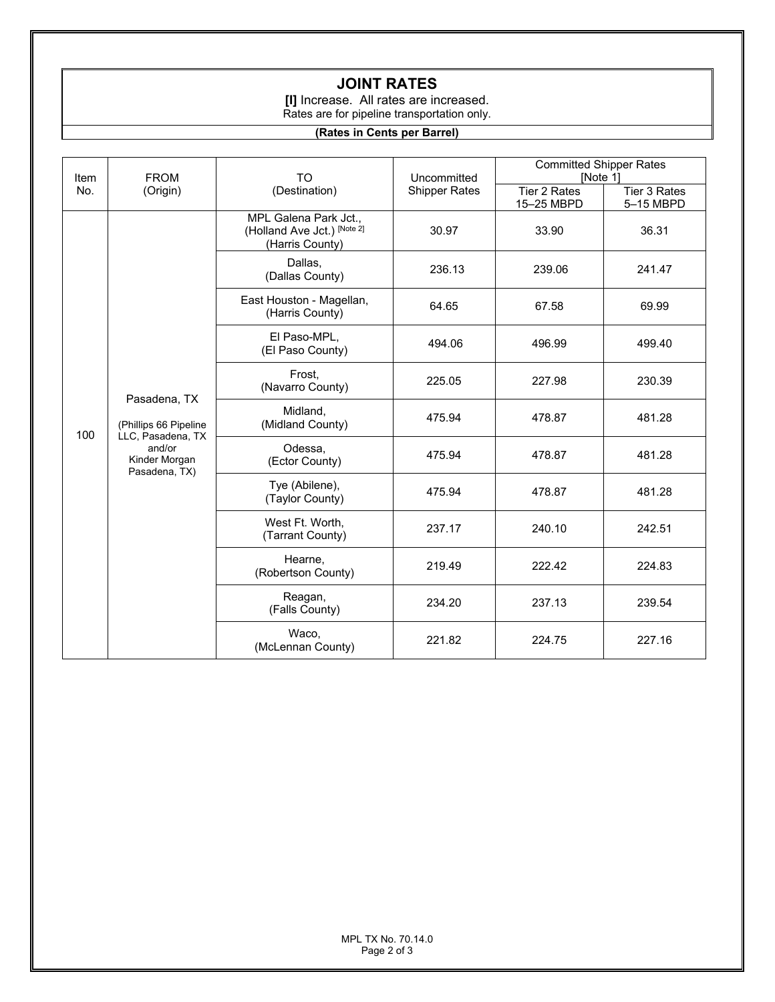### **JOINT RATES**

**[I]** Increase. All rates are increased. Rates are for pipeline transportation only.

#### **(Rates in Cents per Barrel)**

| Item<br>No. | <b>FROM</b><br>(Origin)                                                                                | <b>TO</b><br>(Destination)                                              | Uncommitted<br><b>Shipper Rates</b> | <b>Committed Shipper Rates</b><br>[Note 1] |                           |
|-------------|--------------------------------------------------------------------------------------------------------|-------------------------------------------------------------------------|-------------------------------------|--------------------------------------------|---------------------------|
|             |                                                                                                        |                                                                         |                                     | Tier 2 Rates<br>15-25 MBPD                 | Tier 3 Rates<br>5-15 MBPD |
| 100         | Pasadena, TX<br>(Phillips 66 Pipeline<br>LLC, Pasadena, TX<br>and/or<br>Kinder Morgan<br>Pasadena, TX) | MPL Galena Park Jct.,<br>(Holland Ave Jct.) [Note 2]<br>(Harris County) | 30.97                               | 33.90                                      | 36.31                     |
|             |                                                                                                        | Dallas,<br>(Dallas County)                                              | 236.13                              | 239.06                                     | 241.47                    |
|             |                                                                                                        | East Houston - Magellan,<br>(Harris County)                             | 64.65                               | 67.58                                      | 69.99                     |
|             |                                                                                                        | El Paso-MPL,<br>(El Paso County)                                        | 494.06                              | 496.99                                     | 499.40                    |
|             |                                                                                                        | Frost,<br>(Navarro County)                                              | 225.05                              | 227.98                                     | 230.39                    |
|             |                                                                                                        | Midland,<br>(Midland County)                                            | 475.94                              | 478.87                                     | 481.28                    |
|             |                                                                                                        | Odessa,<br>(Ector County)                                               | 475.94                              | 478.87                                     | 481.28                    |
|             |                                                                                                        | Tye (Abilene),<br>(Taylor County)                                       | 475.94                              | 478.87                                     | 481.28                    |
|             |                                                                                                        | West Ft. Worth,<br>(Tarrant County)                                     | 237.17                              | 240.10                                     | 242.51                    |
|             |                                                                                                        | Hearne,<br>(Robertson County)                                           | 219.49                              | 222.42                                     | 224.83                    |
|             |                                                                                                        | Reagan,<br>(Falls County)                                               | 234.20                              | 237.13                                     | 239.54                    |
|             |                                                                                                        | Waco,<br>(McLennan County)                                              | 221.82                              | 224.75                                     | 227.16                    |